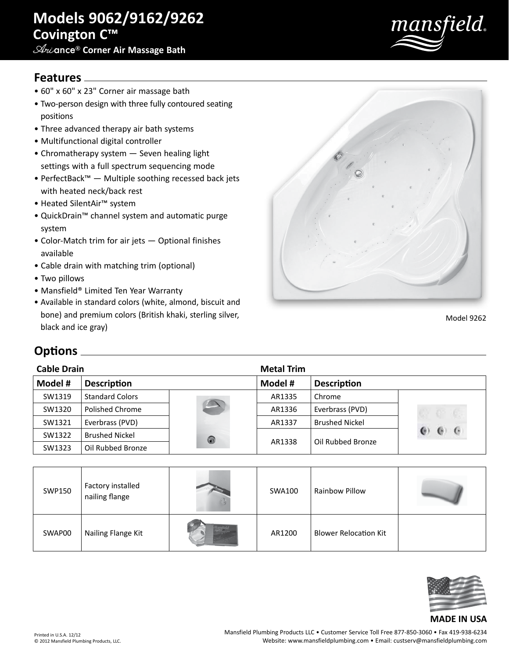# **Models 9062/9162/9262 Covington C™**

## **Ari**ance® **Corner Air Massage Bath**



### **Features**

- 60" x 60" x 23" Corner air massage bath
- Two-person design with three fully contoured seating positions
- Three advanced therapy air bath systems
- Multifunctional digital controller
- Chromatherapy system Seven healing light settings with a full spectrum sequencing mode
- PerfectBack™ Multiple soothing recessed back jets with heated neck/back rest
- Heated SilentAir™ system
- QuickDrain™ channel system and automatic purge system
- Color-Match trim for air jets Optional finishes available
- Cable drain with matching trim (optional)
- Two pillows
- Mansfield® Limited Ten Year Warranty
- Available in standard colors (white, almond, biscuit and bone) and premium colors (British khaki, sterling silver, black and ice gray)



Model 9262

## **Options**

| <b>Cable Drain</b> |                        |                          | <b>Metal Trim</b> |                       |              |
|--------------------|------------------------|--------------------------|-------------------|-----------------------|--------------|
| Model #            | <b>Description</b>     |                          | Model #           | <b>Description</b>    |              |
| SW1319             | <b>Standard Colors</b> |                          | AR1335            | Chrome                |              |
| SW1320             | Polished Chrome        | $\overline{\phantom{a}}$ | AR1336            | Everbrass (PVD)       |              |
| SW1321             | Everbrass (PVD)        |                          | AR1337            | <b>Brushed Nickel</b> |              |
| SW1322             | <b>Brushed Nickel</b>  | 0                        | AR1338            | Oil Rubbed Bronze     | $\cdot$<br>e |
| SW1323             | Oil Rubbed Bronze      |                          |                   |                       |              |

| SWP150 | Factory installed<br>nailing flange | SWA100 | <b>Rainbow Pillow</b>        |  |
|--------|-------------------------------------|--------|------------------------------|--|
| SWAP00 | Nailing Flange Kit                  | AR1200 | <b>Blower Relocation Kit</b> |  |



#### Printed in U.S.A. 12/12 © 2012 Mansfield Plumbing Products, LLC.